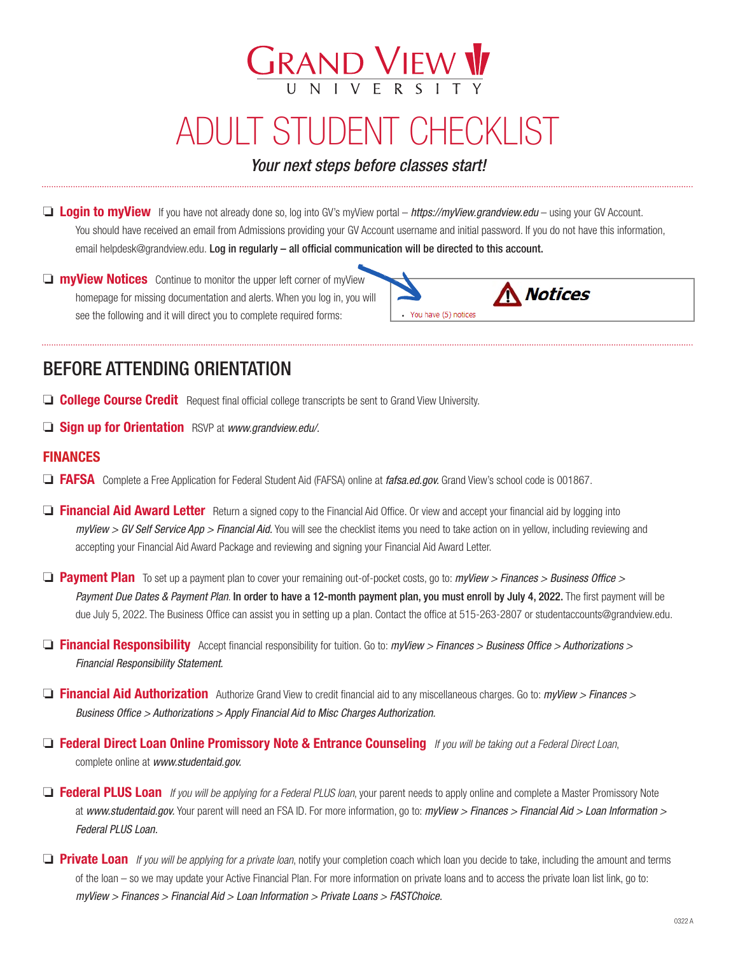# ADULT STUDENT CHECKLIST

**GRAND VIEW V** 

*Your next steps before classes start!*

**□ Login to myView** If you have not already done so, log into GV's myView portal – *https://myView.grandview.edu* – using your GV Account. You should have received an email from Admissions providing your GV Account username and initial password. If you do not have this information, email helpdesk@grandview.edu. Log in regularly – all official communication will be directed to this account.

 $\Box$  **myView Notices** Continue to monitor the upper left corner of myView homepage for missing documentation and alerts. When you log in, you will see the following and it will direct you to complete required forms:



## BEFORE ATTENDING ORIENTATION

- **College Course Credit** Request final official college transcripts be sent to Grand View University.
- **Gign up for Orientation** RSVP at *www.grandview.edu/.*

#### FINANCES

- □ FAFSA Complete a Free Application for Federal Student Aid (FAFSA) online at *fafsa.ed.gov*. Grand View's school code is 001867.
- **D** Financial Aid Award Letter Return a signed copy to the Financial Aid Office. Or view and accept your financial aid by logging into *myView > GV Self Service App > Financial Aid.* You will see the checklist items you need to take action on in yellow, including reviewing and accepting your Financial Aid Award Package and reviewing and signing your Financial Aid Award Letter.
- □ Payment Plan To set up a payment plan to cover your remaining out-of-pocket costs, go to: *myView > Finances > Business Office > Payment Due Dates & Payment Plan*. In order to have a 12-month payment plan, you must enroll by July 4, 2022. The first payment will be due July 5, 2022. The Business Office can assist you in setting up a plan. Contact the office at 515-263-2807 or studentaccounts@grandview.edu.
- □ **Financial Responsibility** Accept financial responsibility for tuition. Go to: *myView > Finances > Business Office > Authorizations > Financial Responsibility Statement.*
- □ Financial Aid Authorization Authorize Grand View to credit financial aid to any miscellaneous charges. Go to: *myView > Finances > Business Office > Authorizations > Apply Financial Aid to Misc Charges Authorization.*
- o Federal Direct Loan Online Promissory Note & Entrance Counseling *If you will be taking out a Federal Direct Loan*, complete online at *www.studentaid.gov.*
- o Federal PLUS Loan *If you will be applying for a Federal PLUS loan*, your parent needs to apply online and complete a Master Promissory Note at *www.studentaid.gov.* Your parent will need an FSA ID. For more information, go to: *myView > Finances > Financial Aid > Loan Information > Federal PLUS Loan.*
- **D** Private Loan *If you will be applying for a private loan*, notify your completion coach which loan you decide to take, including the amount and terms of the loan – so we may update your Active Financial Plan. For more information on private loans and to access the private loan list link, go to: *myView > Finances > Financial Aid > Loan Information > Private Loans > FASTChoice.*